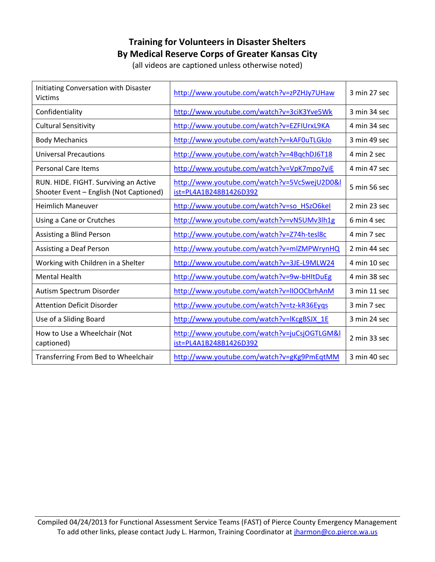## **Training for Volunteers in Disaster Shelters By Medical Reserve Corps of Greater Kansas City**

(all videos are captioned unless otherwise noted)

| Initiating Conversation with Disaster<br><b>Victims</b>                          | http://www.youtube.com/watch?v=zPZHJy7UHaw                             | 3 min 27 sec |
|----------------------------------------------------------------------------------|------------------------------------------------------------------------|--------------|
| Confidentiality                                                                  | http://www.youtube.com/watch?v=3ciK3Yve5Wk                             | 3 min 34 sec |
| <b>Cultural Sensitivity</b>                                                      | http://www.youtube.com/watch?v=EZFIUrxL9KA                             | 4 min 34 sec |
| <b>Body Mechanics</b>                                                            | http://www.youtube.com/watch?v=kAF0uTLGkJo                             | 3 min 49 sec |
| <b>Universal Precautions</b>                                                     | http://www.youtube.com/watch?v=4BqchDJ6T18                             | 4 min 2 sec  |
| <b>Personal Care Items</b>                                                       | http://www.youtube.com/watch?v=VpK7mpo7yiE                             | 4 min 47 sec |
| RUN. HIDE. FIGHT. Surviving an Active<br>Shooter Event - English (Not Captioned) | http://www.youtube.com/watch?v=5VcSwejU2D0&l<br>ist=PL4A1B248B1426D392 | 5 min 56 sec |
| <b>Heimlich Maneuver</b>                                                         | http://www.youtube.com/watch?v=so HSzO6kel                             | 2 min 23 sec |
| Using a Cane or Crutches                                                         | http://www.youtube.com/watch?v=vN5UMv3lh1g                             | 6 min 4 sec  |
| Assisting a Blind Person                                                         | http://www.youtube.com/watch?v=Z74h-tesl8c                             | 4 min 7 sec  |
| <b>Assisting a Deaf Person</b>                                                   | http://www.youtube.com/watch?v=mlZMPWrynHQ                             | 2 min 44 sec |
| Working with Children in a Shelter                                               | http://www.youtube.com/watch?v=3JE-L9MLW24                             | 4 min 10 sec |
| <b>Mental Health</b>                                                             | http://www.youtube.com/watch?v=9w-bHItDuEg                             | 4 min 38 sec |
| Autism Spectrum Disorder                                                         | http://www.youtube.com/watch?v=IIOOCbrhAnM                             | 3 min 11 sec |
| <b>Attention Deficit Disorder</b>                                                | http://www.youtube.com/watch?v=tz-kR36Eyqs                             | 3 min 7 sec  |
| Use of a Sliding Board                                                           | http://www.youtube.com/watch?v=lKcgBSJX_1E                             | 3 min 24 sec |
| How to Use a Wheelchair (Not<br>captioned)                                       | http://www.youtube.com/watch?v=juCsjOGTLGM&I<br>ist=PL4A1B248B1426D392 | 2 min 33 sec |
| Transferring From Bed to Wheelchair                                              | http://www.youtube.com/watch?v=gKg9PmEqtMM                             | 3 min 40 sec |